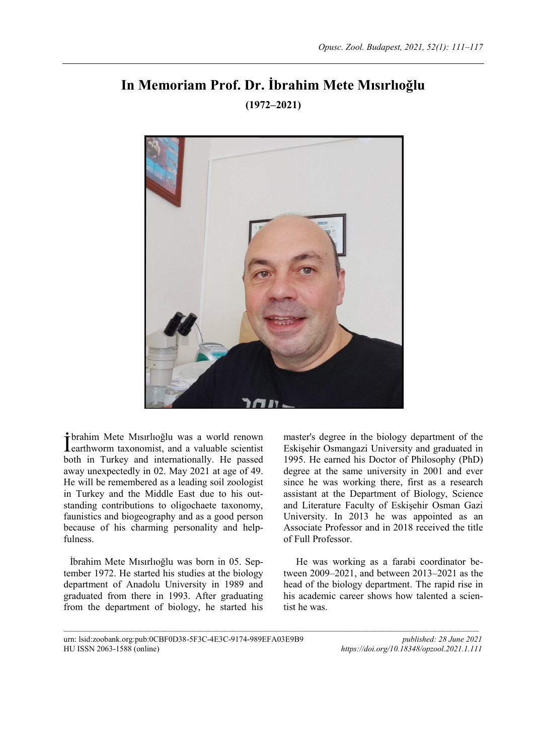# **In Memoriam Prof. Dr. İbrahim Mete Mısırlıoğlu (1972–2021)**



 $\mathcal{L}_\text{max}$ 

brahim Mete Mısırlıoğlu was a world renown **T**brahim Mete Misirlioğlu was a world renown<br>**L**earthworm taxonomist, and a valuable scientist both in Turkey and internationally. He passed away unexpectedly in 02. May 2021 at age of 49. He will be remembered as a leading soil zoologist in Turkey and the Middle East due to his outstanding contributions to oligochaete taxonomy, faunistics and biogeography and as a good person because of his charming personality and helpfulness.

İbrahim Mete Mısırlıoğlu was born in 05. September 1972. He started his studies at the biology department of Anadolu University in 1989 and graduated from there in 1993. After graduating from the department of biology, he started his master's degree in the biology department of the Eskişehir Osmangazi University and graduated in 1995. He earned his Doctor of Philosophy (PhD) degree at the same university in 2001 and ever since he was working there, first as a research assistant at the Department of Biology, Science and Literature Faculty of Eskişehir Osman Gazi University. In 2013 he was appointed as an Associate Professor and in 2018 received the title of Full Professor.

He was working as a farabi coordinator between 2009–2021, and between 2013–2021 as the head of the biology department. The rapid rise in his academic career shows how talented a scientist he was.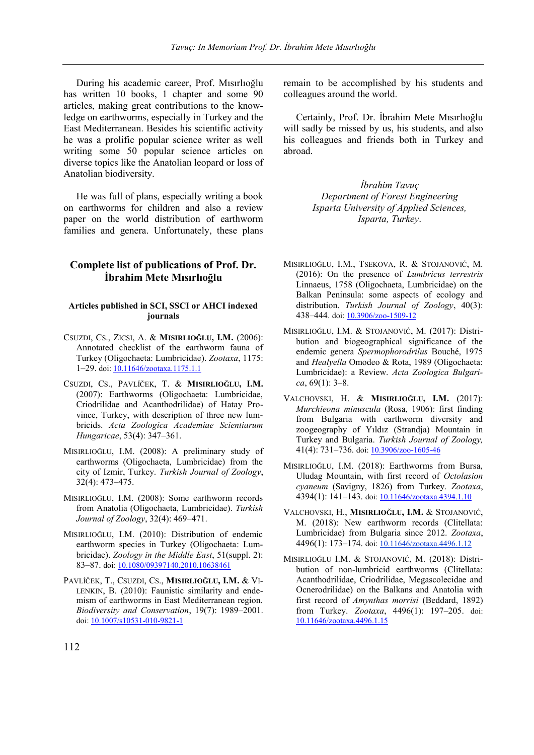During his academic career, Prof. Mısırlıoğlu has written 10 books, 1 chapter and some 90 articles, making great contributions to the knowledge on earthworms, especially in Turkey and the East Mediterranean. Besides his scientific activity he was a prolific popular science writer as well writing some 50 popular science articles on diverse topics like the Anatolian leopard or loss of Anatolian biodiversity.

He was full of plans, especially writing a book on earthworms for children and also a review paper on the world distribution of earthworm families and genera. Unfortunately, these plans

# **Complete list of publications of Prof. Dr. İbrahim Mete Mısırlıoğlu**

## **Articles published in SCI, SSCI or AHCI indexed journals**

- CSUZDI, CS., ZICSI, A. & **MISIRLIOĞLU, I.M.** (2006): Annotated checklist of the earthworm fauna of Turkey (Oligochaeta: Lumbricidae). *Zootaxa*, 1175: 1–29. doi[: 10.11646/zootaxa.1175.1.1](https://doi.org/10.11646/zootaxa.1175.1.1)
- CSUZDI, CS., PAVLÍČEK, T. & **MISIRLIOĞLU, I.M.** (2007): Earthworms (Oligochaeta: Lumbricidae, Criodrilidae and Acanthodrilidae) of Hatay Province, Turkey, with description of three new lumbricids. *Acta Zoologica Academiae Scientiarum Hungaricae*, 53(4): 347–361.
- MISIRLIOĞLU, I.M. (2008): A preliminary study of earthworms (Oligochaeta, Lumbricidae) from the city of Izmir, Turkey. *Turkish Journal of Zoology*, 32(4): 473–475.
- MISIRLIOĞLU, I.M. (2008): Some earthworm records from Anatolia (Oligochaeta, Lumbricidae). *Turkish Journal of Zoology*, 32(4): 469–471.
- MISIRLIOĞLU, I.M. (2010): Distribution of endemic earthworm species in Turkey (Oligochaeta: Lumbricidae). *Zoology in the Middle East*, 51(suppl. 2): 83–87. doi[: 10.1080/09397140.2010.10638461](https://doi.org/10.1080/09397140.2010.10638461)
- PAVLÍČEK, T., CSUZDI, CS., **MISIRLIOĞLU, I.M.** & VI-LENKIN, B. (2010): Faunistic similarity and endemism of earthworms in East Mediterranean region. *Biodiversity and Conservation*, 19(7): 1989–2001. doi[: 10.1007/s10531-010-9821-1](https://doi.org/10.1007/s10531-010-9821-1)

remain to be accomplished by his students and colleagues around the world.

Certainly, Prof. Dr. İbrahim Mete Mısırlıoğlu will sadly be missed by us, his students, and also his colleagues and friends both in Turkey and abroad.

> *İbrahim Tavuç Department of Forest Engineering Isparta University of Applied Sciences, Isparta, Turkey*.

- MISIRLIOĞLU, I.M., TSEKOVA, R. & STOJANOVIĆ, M. (2016): On the presence of *Lumbricus terrestris* Linnaeus, 1758 (Oligochaeta, Lumbricidae) on the Balkan Peninsula: some aspects of ecology and distribution. *Turkish Journal of Zoology*, 40(3): 438–444. doi[: 10.3906/zoo-1509-12](https://doi.org/10.3906/zoo-1509-12)
- MISIRLIOĞLU, I.M. & STOJANOVIĆ, M. (2017): Distribution and biogeographical significance of the endemic genera *Spermophorodrilus* Bouché, 1975 and *Healyella* Omodeo & Rota, 1989 (Oligochaeta: Lumbricidae): a Review. *Acta Zoologica Bulgarica*, 69(1): 3–8.
- VALCHOVSKI, H. & **MISIRLIOĞLU, I.M.** (2017): *Murchieona minuscula* (Rosa, 1906): first finding from Bulgaria with earthworm diversity and zoogeography of Yıldız (Strandja) Mountain in Turkey and Bulgaria. *Turkish Journal of Zoology,* 41(4): 731–736. doi[: 10.3906/zoo-1605-46](http://dx.doi.org/10.3906/zoo-1605-46)
- MISIRLIOĞLU, I.M. (2018): Earthworms from Bursa, Uludag Mountain, with first record of *Octolasion cyaneum* (Savigny, 1826) from Turkey. *Zootaxa*, 4394(1): 141–143. doi[: 10.11646/zootaxa.4394.1.10](https://doi.org/10.11646/zootaxa.4394.1.10)
- VALCHOVSKI, H., **MISIRLIOĞLU, I.M.** & STOJANOVIĆ, M. (2018): New earthworm records (Clitellata: Lumbricidae) from Bulgaria since 2012. *Zootaxa*, 4496(1): 173-174. doi[: 10.11646/zootaxa.4496.1.12](https://doi.org/10.11646/zootaxa.4496.1.12)
- MISIRLIOĞLU I.M. & STOJANOVIĆ, M. (2018): Distribution of non-lumbricid earthworms (Clitellata: Acanthodrilidae, Criodrilidae, Megascolecidae and Ocnerodrilidae) on the Balkans and Anatolia with first record of *Amynthas morrisi* (Beddard, 1892) from Turkey. *Zootaxa*, 4496(1): 197–205. doi: [10.11646/zootaxa.4496.1.15](https://doi.org/10.11646/zootaxa.4496.1.15)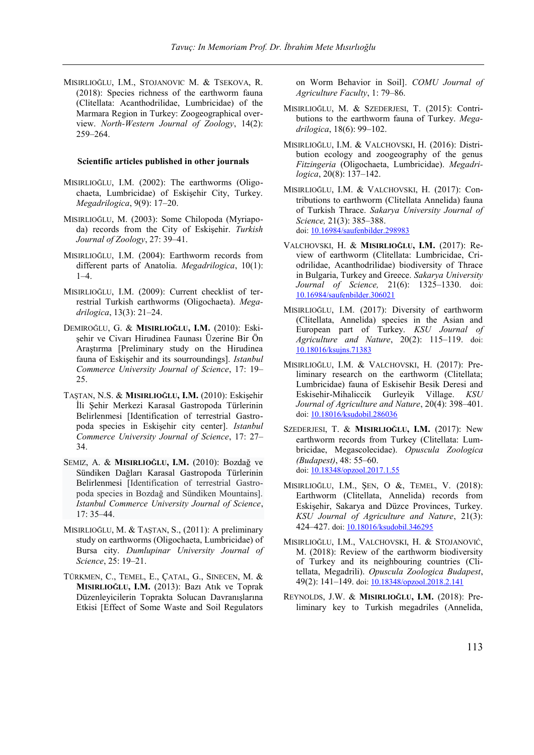MISIRLIOĞLU, I.M., STOJANOVIC M. & TSEKOVA, R. (2018): Species richness of the earthworm fauna (Clitellata: Acanthodrilidae, Lumbricidae) of the Marmara Region in Turkey: Zoogeographical overview. *North-Western Journal of Zoology*, 14(2): 259–264.

#### **Scientific articles published in other journals**

- MISIRLIOĞLU, I.M. (2002): The earthworms (Oligochaeta, Lumbricidae) of Eskişehir City, Turkey. *Megadrilogica*, 9(9): 17–20.
- MISIRLIOĞLU, M. (2003): Some Chilopoda (Myriapoda) records from the City of Eskişehir. *Turkish Journal of Zoology*, 27: 39–41.
- MISIRLIOĞLU, I.M. (2004): Earthworm records from different parts of Anatolia. *Megadrilogica*, 10(1): 1–4.
- MISIRLIOĞLU, I.M. (2009): Current checklist of terrestrial Turkish earthworms (Oligochaeta). *Megadrilogica*, 13(3): 21–24.
- DEMIROĞLU, G. & **MISIRLIOĞLU, I.M.** (2010): Eskişehir ve Civarı Hirudinea Faunası Üzerine Bir Ön Araştırma [Preliminary study on the Hirudinea fauna of Eskişehir and its sourroundings]. *Istanbul Commerce University Journal of Science*, 17: 19– 25.
- TAŞTAN, N.S. & **MISIRLIOĞLU, I.M.** (2010): Eskişehir İli Şehir Merkezi Karasal Gastropoda Türlerinin Belirlenmesi [Identification of terrestrial Gastropoda species in Eskişehir city center]. *Istanbul Commerce University Journal of Science*, 17: 27– 34.
- SEMIZ, A. & **MISIRLIOĞLU, I.M.** (2010): Bozdağ ve Sündiken Dağları Karasal Gastropoda Türlerinin Belirlenmesi [Identification of terrestrial Gastropoda species in Bozdağ and Sündiken Mountains]. *Istanbul Commerce University Journal of Science*, 17: 35–44.
- MISIRLIOĞLU, M. & TAŞTAN, S., (2011): A preliminary study on earthworms (Oligochaeta, Lumbricidae) of Bursa city. *Dumlupinar University Journal of Science*, 25: 19–21.
- TÜRKMEN, C., TEMEL, E., ÇATAL, G., SINECEN, M. & **MISIRLIOĞLU, I.M.** (2013): Bazı Atık ve Toprak Düzenleyicilerin Toprakta Solucan Davranışlarına Etkisi [Effect of Some Waste and Soil Regulators

on Worm Behavior in Soil]. *COMU Journal of Agriculture Faculty*, 1: 79–86.

- MISIRLIOĞLU, M. & SZEDERJESI, T. (2015): Contributions to the earthworm fauna of Turkey. *Megadrilogica*, 18(6): 99–102.
- MISIRLIOĞLU, I.M. & VALCHOVSKI, H. (2016): Distribution ecology and zoogeography of the genus *Fitzingeria* (Oligochaeta, Lumbricidae). *Megadrilogica*, 20(8): 137–142.
- MISIRLIOĞLU, I.M. & VALCHOVSKI, H. (2017): Contributions to earthworm (Clitellata Annelida) fauna of Turkish Thrace. *Sakarya University Journal of Science,* 21(3): 385–388. doi[: 10.16984/saufenbilder.298983](https://doi.org/10.16984/saufenbilder.298983)
- VALCHOVSKI, H. & **MISIRLIOĞLU, I.M.** (2017): Review of earthworm (Clitellata: Lumbricidae, Criodrilidae, Acanthodrilidae) biodiversity of Thracе in Bulgaria, Turkey and Greece. *Sakarya University Journal of Science,* 21(6): 1325–1330. doi: [10.16984/saufenbilder.306021](https://doi.org/10.16984/saufenbilder.306021)
- MISIRLIOĞLU, I.M. (2017): Diversity of earthworm (Clitellata, Annelida) species in the Asian and European part of Turkey. *KSU Journal of Agriculture and Nature*, 20(2): 115–119. doi: [10.18016/ksujns.71383](https://doi.org/10.18016/ksujns.71383)
- MISIRLIOĞLU, I.M. & VALCHOVSKI, H. (2017): Preliminary research on the earthworm (Clitellata; Lumbricidae) fauna of Eskisehir Besik Deresi and Eskisehir-Mihaliccik Gurleyik Village. *KSU Journal of Agriculture and Nature*, 20(4): 398–401. doi[: 10.18016/ksudobil.286036](https://doi.org/10.18016/ksudobil.286036)
- SZEDERJESI, T. & **MISIRLIOĞLU, I.M.** (2017): New earthworm records from Turkey (Clitellata: Lumbricidae, Megascolecidae). *Opuscula Zoologica (Budapest)*, 48: 55–60. doi[: 10.18348/opzool.2017.1.55](https://doi.org/10.18348/opzool.2017.1.55)
- MISIRLIOĞLU, I.M., ŞEN, O &, TEMEL, V. (2018): Earthworm (Clitellata, Annelida) records from Eskişehir, Sakarya and Düzce Provinces, Turkey. *KSU Journal of Agriculture and Nature*, 21(3): 424–427. doi[: 10.18016/ksudobil.346295](https://doi.org/10.18016/ksudobil.346295)
- MISIRLIOĞLU, I.M., VALCHOVSKI, H. & STOJANOVIĆ, M. (2018): Review of the earthworm biodiversity of Turkey and its neighbouring countries (Clitellata, Megadrili). *Opuscula Zoologica Budapest*, 49(2): 141-149. doi[: 10.18348/opzool.2018.2.141](https://doi.org/10.18348/opzool.2018.2.141)
- REYNOLDS, J.W. & **MISIRLIOĞLU, I.M.** (2018): Preliminary key to Turkish megadriles (Annelida,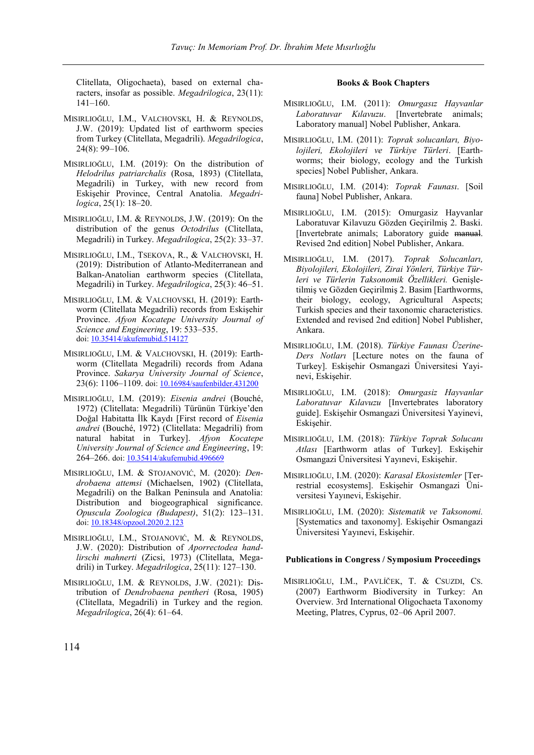Clitellata, Oligochaeta), based on external characters, insofar as possible. *Megadrilogica*, 23(11): 141–160.

- MISIRLIOĞLU, I.M., VALCHOVSKI, H. & REYNOLDS, J.W. (2019): Updated list of earthworm species from Turkey (Clitellata, Megadrili). *Megadrilogica*, 24(8): 99–106.
- MISIRLIOĞLU, I.M. (2019): On the distribution of *Helodrilus patriarchalis* (Rosa, 1893) (Clitellata, Megadrili) in Turkey, with new record from Eskişehir Province, Central Anatolia. *Megadrilogica*, 25(1): 18–20.
- MISIRLIOĞLU, I.M. & REYNOLDS, J.W. (2019): On the distribution of the genus *Octodrilus* (Clitellata, Megadrili) in Turkey. *Megadrilogica*, 25(2): 33–37.
- MISIRLIOĞLU, I.M., TSEKOVA, R., & VALCHOVSKI, H. (2019): Distribution of Atlanto-Mediterranean and Balkan-Anatolian earthworm species (Clitellata, Megadrili) in Turkey. *Megadrilogica*, 25(3): 46–51.
- MISIRLIOĞLU, I.M. & VALCHOVSKI, H. (2019): Earthworm (Clitellata Megadrili) records from Eskişehir Province. *Afyon Kocatepe University Journal of Science and Engineering*, 19: 533–535. doi[: 10.35414/akufemubid.514127](https://doi.org/10.35414/akufemubid.514127)
- MISIRLIOĞLU, I.M. & VALCHOVSKI, H. (2019): Earthworm (Clitellata Megadrili) records from Adana Province. *Sakarya University Journal of Science*, 23(6): 1106–1109. doi[: 10.16984/saufenbilder.431200](https://doi.org/10.16984/saufenbilder.431200)
- MISIRLIOĞLU, I.M. (2019): *Eisenia andrei* (Bouché, 1972) (Clitellata: Megadrili) Türünün Türkiye'den Doğal Habitatta İlk Kaydı [First record of *Eisenia andrei* (Bouché, 1972) (Clitellata: Megadrili) from natural habitat in Turkey]. *Afyon Kocatepe University Journal of Science and Engineering*, 19: 264–266. doi[: 10.35414/akufemubid.496669](https://doi.org/10.35414/akufemubid.496669)
- MISIRLIOĞLU, I.M. & STOJANOVIĆ, M. (2020): *Dendrobaena attemsi* (Michaelsen, 1902) (Clitellata, Megadrili) on the Balkan Peninsula and Anatolia: Distribution and biogeographical significance. *Opuscula Zoologica (Budapest)*, 51(2): 123–131. doi[: 10.18348/opzool.2020.2.123](https://doi.org/10.18348/opzool.2020.2.123)
- MISIRLIOĞLU, I.M., STOJANOVIĆ, M. & REYNOLDS, J.W. (2020): Distribution of *Aporrectodea handlirschi mahnerti* (Zicsi, 1973) (Clitellata, Megadrili) in Turkey. *Megadrilogica*, 25(11): 127–130.
- MISIRLIOĞLU, I.M. & REYNOLDS, J.W. (2021): Distribution of *Dendrobaena pentheri* (Rosa, 1905) (Clitellata, Megadrili) in Turkey and the region. *Megadrilogica*, 26(4): 61–64.

## **Books & Book Chapters**

- MISIRLIOĞLU, I.M. (2011): *Omurgasız Hayvanlar Laboratuvar Kılavuzu*. [Invertebrate animals; Laboratory manual] Nobel Publisher, Ankara.
- MISIRLIOĞLU, I.M. (2011): *Toprak solucanları, Biyolojileri, Ekolojileri ve Türkiye Türleri*. [Earthworms; their biology, ecology and the Turkish species] Nobel Publisher, Ankara.
- MISIRLIOĞLU, I.M. (2014): *Toprak Faunası*. [Soil fauna] Nobel Publisher, Ankara.
- MISIRLIOĞLU, I.M. (2015): Omurgasiz Hayvanlar Laboratuvar Kilavuzu Gözden Geçirilmiş 2. Baski. [Invertebrate animals; Laboratory guide manual. Revised 2nd edition] Nobel Publisher, Ankara.
- MISIRLIOĞLU, I.M. (2017). *Toprak Solucanları, Biyolojileri, Ekolojileri, Zirai Yönleri, Türkiye Türleri ve Türlerin Taksonomik Özellikleri.* Genişletilmiş ve Gözden Geçirilmiş 2. Basim [Earthworms, their biology, ecology, Agricultural Aspects; Turkish species and their taxonomic characteristics. Extended and revised 2nd edition] Nobel Publisher, Ankara.
- MISIRLIOĞLU, I.M. (2018). *Türkiye Faunası Üzerine-Ders Notları* [Lecture notes on the fauna of Turkey]. Eskişehir Osmangazi Üniversitesi Yayinevi, Eskişehir.
- MISIRLIOĞLU, I.M. (2018): *Omurgasiz Hayvanlar Laboratuvar Kılavuzu* [Invertebrates laboratory guide]. Eskişehir Osmangazi Üniversitesi Yayinevi, Eskişehir.
- MISIRLIOĞLU, I.M. (2018): *Türkiye Toprak Solucanı Atlası* [Earthworm atlas of Turkey]. Eskişehir Osmangazi Üniversitesi Yayınevi, Eskişehir.
- MISIRLIOĞLU, I.M. (2020): *Karasal Ekosistemler* [Terrestrial ecosystems]. Eskişehir Osmangazi Üniversitesi Yayınevi, Eskişehir.
- MISIRLIOĞLU, I.M. (2020): *Sistematik ve Taksonomi.* [Systematics and taxonomy]. Eskişehir Osmangazi Üniversitesi Yayınevi, Eskişehir.

#### **Publications in Congress / Symposium Proceedings**

MISIRLIOĞLU, I.M., PAVLÍČEK, T. & CSUZDI, CS. (2007) Earthworm Biodiversity in Turkey: An Overview. 3rd International Oligochaeta Taxonomy Meeting, Platres, Cyprus, 02–06 April 2007.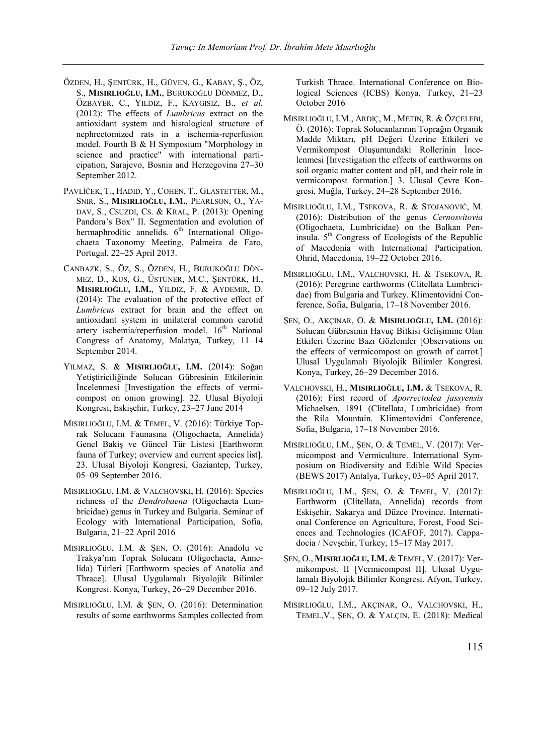- ÖZDEN, H., ŞENTÜRK, H., GÜVEN, G., KABAY, Ş., ÖZ, S., **MISIRLIOĞLU, I.M.**, BURUKOĞLU DÖNMEZ, D., ÖZBAYER, C., YILDIZ, F., KAYGISIZ, B., *et al.* (2012): The effects of *Lumbricus* extract on the antioxidant system and histological structure of nephrectomized rats in a ischemia-reperfusion model. Fourth B & H Symposium "Morphology in science and practice" with international participation, Sarajevo, Bosnia and Herzegovina 27–30 September 2012.
- PAVLÍČEK, T., HADID, Y., COHEN, T., GLASTETTER, M., SNIR, S., **MISIRLIOĞLU, I.M.**, PEARLSON, O., YA-DAV, S., CSUZDI, CS. & KRAL, P. (2013): Opening Pandora's Box" II. Segmentation and evolution of hermaphroditic annelids.  $6<sup>th</sup>$  International Oligochaeta Taxonomy Meeting, Palmeira de Faro, Portugal, 22–25 April 2013.
- CANBAZK, S., ÖZ, S., ÖZDEN, H., BURUKOĞLU DÖN-MEZ, D., KUS, G., ÜSTÜNER, M.C., ŞENTÜRK, H., **MISIRLIOĞLU, I.M.**, YILDIZ, F. & AYDEMIR, D. (2014): The evaluation of the protective effect of *Lumbricus* extract for brain and the effect on antioxidant system in unilateral common carotid artery ischemia/reperfusion model.  $16<sup>th</sup>$  National Congress of Anatomy, Malatya, Turkey, 11–14 September 2014.
- YILMAZ, S. & **MISIRLIOĞLU, I.M.** (2014): Soğan Yetiştiriciliğinde Solucan Gübresinin Etkilerinin İncelenmesi [Investigation the effects of vermicompost on onion growing]. 22. Ulusal Biyoloji Kongresi, Eskişehir, Turkey, 23–27 June 2014
- MISIRLIOĞLU, I.M. & TEMEL, V. (2016): Türkiye Toprak Solucanı Faunasına (Oligochaeta, Annelida) Genel Bakiş ve Güncel Tür Listesi [Earthworm fauna of Turkey; overview and current species list]. 23. Ulusal Biyoloji Kongresi, Gaziantep, Turkey, 05–09 September 2016.
- MISIRLIOĞLU, I.M. & VALCHOVSKI, H. (2016): Species richness of the *Dendrobaena* (Oligochaeta Lumbricidae) genus in Turkey and Bulgaria. Seminar of Ecology with International Participation, Sofia, Bulgaria, 21–22 April 2016
- MISIRLIOĞLU, I.M. & ŞEN, O. (2016): Anadolu ve Trakya'nın Toprak Solucanı (Oligochaeta, Annelida) Türleri [Earthworm species of Anatolia and Thrace]. Ulusal Uygulamalı Biyolojik Bilimler Kongresi. Konya, Turkey, 26–29 December 2016.
- MISIRLIOĞLU, I.M. & ŞEN, O. (2016): Determination results of some earthworms Samples collected from

Turkish Thrace. International Conference on Biological Sciences (ICBS) Konya, Turkey, 21–23 October 2016

- MISIRLIOĞLU, I.M., ARDIÇ, M., METIN, R. & ÖZÇELEBI, Ö. (2016): Toprak Solucanlarının Toprağın Organik Madde Miktarı, pH Değeri Üzerine Etkileri ve Vermikompost Oluşumundaki Rollerinin İncelenmesi [Investigation the effects of earthworms on soil organic matter content and pH, and their role in vermicompost formation.] 3. Ulusal Çevre Kongresi, Muğla, Turkey, 24–28 September 2016.
- MISIRLIOĞLU, I.M., TSEKOVA, R. & STOJANOVIĆ, M. (2016): Distribution of the genus *Cernosvitovia* (Oligochaeta, Lumbricidae) on the Balkan Peninsula.  $5<sup>th</sup>$  Congress of Ecologists of the Republic of Macedonia with International Participation. Ohrid, Macedonia, 19–22 October 2016.
- MISIRLIOĞLU, I.M., VALCHOVSKI, H. & TSEKOVA, R. (2016): Peregrine earthworms (Clitellata Lumbricidae) from Bulgaria and Turkey. Klimentovidni Conference, Sofia, Bulgaria, 17–18 November 2016.
- ŞEN, O., AKÇINAR, O. & **MISIRLIOĞLU, I.M.** (2016): Solucan Gübresinin Havuç Bitkisi Gelişimine Olan Etkileri Üzerine Bazı Gözlemler [Observations on the effects of vermicompost on growth of carrot.] Ulusal Uygulamalı Biyolojik Bilimler Kongresi. Konya, Turkey, 26–29 December 2016.
- VALCHOVSKI, H., **MISIRLIOĞLU, I.M.** & TSEKOVA, R. (2016): First record of *Aporrectodea jassyensis* Michaelsen, 1891 (Clitellata, Lumbricidae) from the Rila Mountain. Klimentovidni Conference, Sofia, Bulgaria, 17–18 November 2016.
- MISIRLIOĞLU, I.M., ŞEN, O. & TEMEL, V. (2017): Vermicompost and Vermiculture. International Symposium on Biodiversity and Edible Wild Species (BEWS 2017) Antalya, Turkey, 03–05 April 2017.
- MISIRLIOĞLU, I.M., ŞEN, O. & TEMEL, V. (2017): Earthworm (Clitellata, Annelida) records from Eskişehir, Sakarya and Düzce Province. International Conference on Agriculture, Forest, Food Sciences and Technologies (ICAFOF, 2017). Cappadocia / Nevşehir, Turkey, 15–17 May 2017.
- ŞEN, O., **MISIRLIOĞLU, I.M.** & TEMEL, V. (2017): Vermikompost. II [Vermicompost II]. Ulusal Uygulamalı Biyolojik Bilimler Kongresi. Afyon, Turkey, 09–12 July 2017.
- MISIRLIOĞLU, I.M., AKÇINAR, O., VALCHOVSKI, H., TEMEL,V., ŞEN, O. & YALÇIN, E. (2018): Medical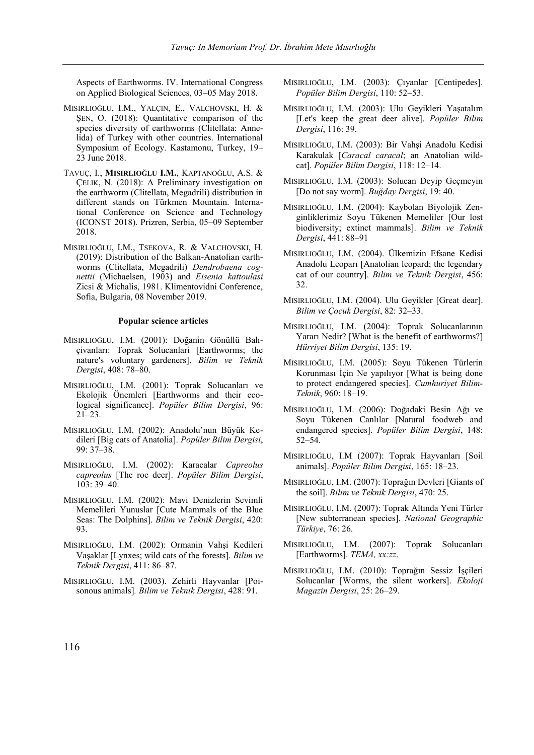Aspects of Earthworms. IV. International Congress on Applied Biological Sciences, 03–05 May 2018.

- MISIRLIOĞLU, I.M., YALÇIN, E., VALCHOVSKI, H. & ŞEN, O. (2018): Quantitative comparison of the species diversity of earthworms (Clitellata: Annelida) of Turkey with other countries. International Symposium of Ecology. Kastamonu, Turkey, 19– 23 June 2018.
- TAVUÇ, I., **MISIRLIOĞLU I.M.**, KAPTANOĞLU, A.S. & ÇELIK, N. (2018): A Preliminary investigation on the earthworm (Clitellata, Megadrili) distribution in different stands on Türkmen Mountain. International Conference on Science and Technology (ICONST 2018). Prizren, Serbia, 05–09 September 2018.
- MISIRLIOĞLU, I.M., TSEKOVA, R. & VALCHOVSKI, H. (2019): Distribution of the Balkan-Anatolian earthworms (Clitellata, Megadrili) *Dendrobaena cognettii* (Michaelsen, 1903) and *Eisenia kattoulasi* Zicsi & Michalis, 1981. Klimentovidni Conference, Sofia, Bulgaria, 08 November 2019.

#### **Popular science articles**

- MISIRLIOĞLU, I.M. (2001): Doğanin Gönüllü Bahçivanları: Toprak Solucanlari [Earthworms; the nature's voluntary gardeners]. *Bilim ve Teknik Dergisi*, 408: 78–80.
- MISIRLIOĞLU, I.M. (2001): Toprak Solucanları ve Ekolojik Önemleri [Earthworms and their ecological significance]. *Popüler Bilim Dergisi*, 96: 21–23.
- MISIRLIOĞLU, I.M. (2002): Anadolu'nun Büyük Kedileri [Big cats of Anatolia]. *Popüler Bilim Dergisi*, 99: 37–38.
- MISIRLIOĞLU, I.M. (2002): Karacalar *Capreolus capreolus* [The roe deer]. *Popüler Bilim Dergisi*, 103: 39–40.
- MISIRLIOĞLU, I.M. (2002): Mavi Denizlerin Sevimli Memelileri Yunuslar [Cute Mammals of the Blue Seas: The Dolphins]. *Bilim ve Teknik Dergisi*, 420: 93.
- MISIRLIOĞLU, I.M. (2002): Ormanin Vahşi Kedileri Vaşaklar [Lynxes; wild cats of the forests]. *Bilim ve Teknik Dergisi*, 411: 86–87.
- MISIRLIOĞLU, I.M. (2003). Zehirli Hayvanlar [Poisonous animals]*. Bilim ve Teknik Dergisi*, 428: 91.
- MISIRLIOĞLU, I.M. (2003): Çıyanlar [Centipedes]. *Popüler Bilim Dergisi*, 110: 52–53.
- MISIRLIOĞLU, I.M. (2003): Ulu Geyikleri Yaşatalım [Let's keep the great deer alive]. *Popüler Bilim Dergisi*, 116: 39.
- MISIRLIOĞLU, I.M. (2003): Bir Vahşi Anadolu Kedisi Karakulak [*Caracal caracal*; an Anatolian wildcat]. *Popüler Bilim Dergisi*, 118: 12–14.
- MISIRLIOĞLU, I.M. (2003): Solucan Deyip Geçmeyin [Do not say worm]. *Buğday Dergisi*, 19: 40.
- MISIRLIOĞLU, I.M. (2004): Kaybolan Biyolojik Zenginliklerimiz Soyu Tükenen Memeliler [Our lost biodiversity; extinct mammals]. *Bilim ve Teknik Dergisi*, 441: 88–91
- MISIRLIOĞLU, I.M. (2004). Ülkemizin Efsane Kedisi Anadolu Leoparı [Anatolian leopard; the legendary cat of our country]. *Bilim ve Teknik Dergisi*, 456: 32.
- MISIRLIOĞLU, I.M. (2004). Ulu Geyikler [Great dear]. *Bilim ve Çocuk Dergisi*, 82: 32–33.
- MISIRLIOĞLU, I.M. (2004): Toprak Solucanlarının Yararı Nedir? [What is the benefit of earthworms?] *Hürriyet Bilim Dergisi*, 135: 19.
- MISIRLIOĞLU, I.M. (2005): Soyu Tükenen Türlerin Korunması İçin Ne yapılıyor [What is being done to protect endangered species]. *Cumhuriyet Bilim-Teknik*, 960: 18–19.
- MISIRLIOĞLU, I.M. (2006): Doğadaki Besin Ağı ve Soyu Tükenen Canlılar [Natural foodweb and endangered species]. *Popüler Bilim Dergisi*, 148: 52–54.
- MISIRLIOĞLU, I.M (2007): Toprak Hayvanları [Soil animals]. *Popüler Bilim Dergisi*, 165: 18–23.
- MISIRLIOĞLU, I.M. (2007): Toprağın Devleri [Giants of the soil]. *Bilim ve Teknik Dergisi*, 470: 25.
- MISIRLIOĞLU, I.M. (2007): Toprak Altında Yeni Türler [New subterranean species]. *National Geographic Türkiye*, 76: 26.
- MISIRLIOĞLU, I.M. (2007): Toprak Solucanları [Earthworms]. *TEMA, xx:zz*.
- MISIRLIOĞLU, I.M. (2010): Toprağın Sessiz İşçileri Solucanlar [Worms, the silent workers]. *Ekoloji Magazin Dergisi*, 25: 26–29.